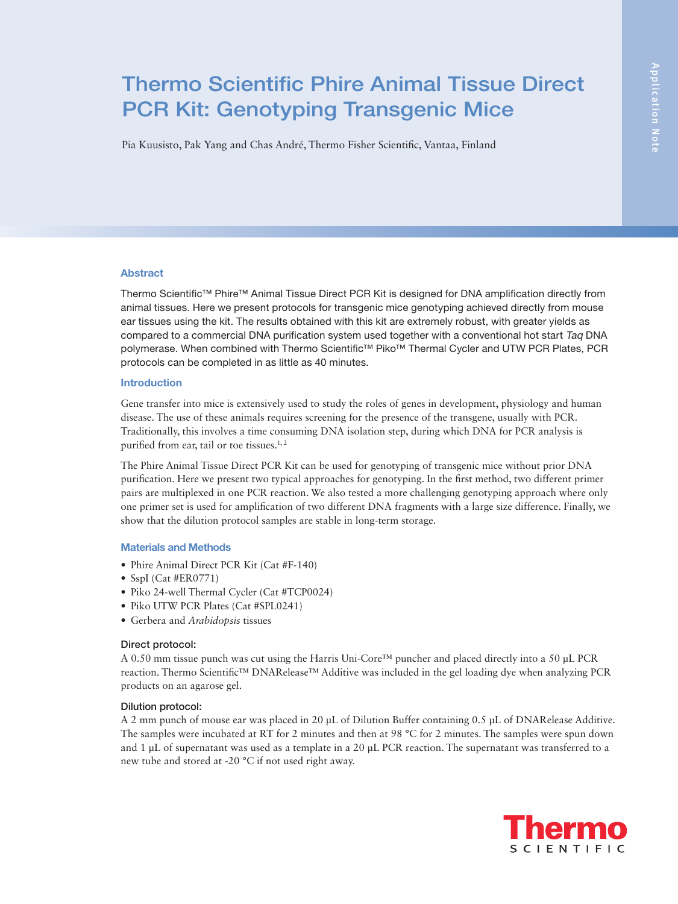# Thermo Scientific Phire Animal Tissue Direct PCR Kit: Genotyping Transgenic Mice

Pia Kuusisto, Pak Yang and Chas André, Thermo Fisher Scientific, Vantaa, Finland

# Abstract

Thermo Scientific™ Phire™ Animal Tissue Direct PCR Kit is designed for DNA amplification directly from animal tissues. Here we present protocols for transgenic mice genotyping achieved directly from mouse ear tissues using the kit. The results obtained with this kit are extremely robust, with greater yields as compared to a commercial DNA purification system used together with a conventional hot start Taq DNA polymerase. When combined with Thermo Scientific™ Piko™ Thermal Cycler and UTW PCR Plates, PCR protocols can be completed in as little as 40 minutes.

# Introduction

Gene transfer into mice is extensively used to study the roles of genes in development, physiology and human disease. The use of these animals requires screening for the presence of the transgene, usually with PCR. Traditionally, this involves a time consuming DNA isolation step, during which DNA for PCR analysis is purified from ear, tail or toe tissues.<sup>1,2</sup>

The Phire Animal Tissue Direct PCR Kit can be used for genotyping of transgenic mice without prior DNA purification. Here we present two typical approaches for genotyping. In the first method, two different primer pairs are multiplexed in one PCR reaction. We also tested a more challenging genotyping approach where only one primer set is used for amplification of two different DNA fragments with a large size difference. Finally, we show that the dilution protocol samples are stable in long-term storage.

## Materials and Methods

- Phire Animal Direct PCR Kit (Cat #F-140)
- SspI (Cat #ER0771)
- Piko 24-well Thermal Cycler (Cat #TCP0024)
- Piko UTW PCR Plates (Cat #SPL0241)
- Gerbera and *Arabidopsis* tissues

## Direct protocol:

A 0.50 mm tissue punch was cut using the Harris Uni-Core™ puncher and placed directly into a 50 μL PCR reaction. Thermo Scientific™ DNARelease™ Additive was included in the gel loading dye when analyzing PCR products on an agarose gel.

# Dilution protocol:

A 2 mm punch of mouse ear was placed in 20 μL of Dilution Buffer containing 0.5 μL of DNARelease Additive. The samples were incubated at RT for 2 minutes and then at 98 °C for 2 minutes. The samples were spun down and 1 μL of supernatant was used as a template in a 20 μL PCR reaction. The supernatant was transferred to a new tube and stored at -20 °C if not used right away.

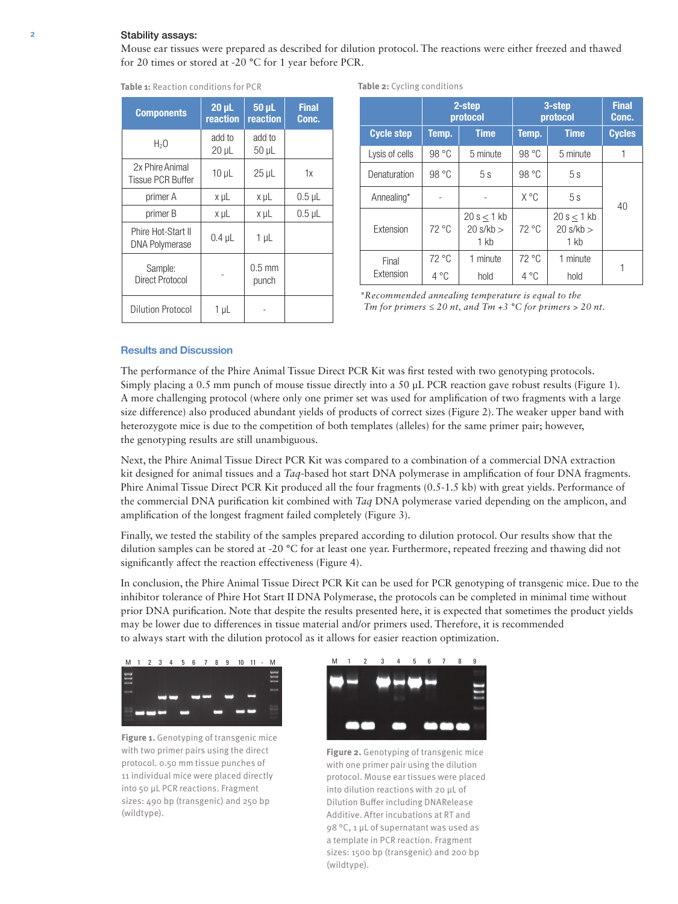## 2 Stability assays:

Mouse ear tissues were prepared as described for dilution protocol. The reactions were either freezed and thawed for 20 times or stored at -20 °C for 1 year before PCR.

| <b>Components</b>                           | $20 \mu L$<br>reaction | 50 µL<br>reaction         | <b>Final</b><br>Conc. |
|---------------------------------------------|------------------------|---------------------------|-----------------------|
| H <sub>2</sub> O                            | add to<br>$20 \mu L$   | add to<br>$50 \mu L$      |                       |
| 2x Phire Animal<br><b>Tissue PCR Buffer</b> | $10 \mu L$             | $25 \mu L$                | 1x                    |
| primer A                                    | x µL                   | x µL                      | $0.5 \mu L$           |
| primer B                                    | x µL                   | x µL                      | $0.5$ µL              |
| Phire Hot-Start II<br><b>DNA Polymerase</b> | $0.4 \mu L$            | 1 µL                      |                       |
| Sample:<br><b>Direct Protocol</b>           |                        | $0.5 \text{ mm}$<br>punch |                       |
| <b>Dilution Protocol</b>                    | 1 µL                   |                           |                       |

|  | <b>Table 1: Reaction conditions for PCR</b> |  |
|--|---------------------------------------------|--|

**Table 2:** Cycling conditions

|                   | 2-step<br>protocol |                                          | 3-step<br>protocol |                                  | <b>Final</b><br>Conc. |
|-------------------|--------------------|------------------------------------------|--------------------|----------------------------------|-----------------------|
| <b>Cycle step</b> | Temp.              | <b>Time</b>                              | Temp.              | <b>Time</b>                      | <b>Cycles</b>         |
| Lysis of cells    | 98 °C              | 5 minute                                 | 98 °C              | 5 minute                         | 1                     |
| Denaturation      | 98 °C              | 5s                                       | 98 °C              | 5s                               |                       |
| Annealing*        |                    |                                          | X °C               | 5s                               | 40                    |
| Extension         | $72^{\circ}$ C     | 20 s < 1 kb<br>$20 \text{ s/kb}$<br>1 kb | $72^{\circ}$ C     | 20 s < 1 kb<br>20 s/kb<br>$1$ kb |                       |
| Final             | $72^{\circ}$ C     | 1 minute                                 | $72^{\circ}$ C     | 1 minute                         |                       |
| Extension         | $4^{\circ}$ C      | hold                                     | $4^{\circ}$ C      | hold                             |                       |

*\*Recommended annealing temperature is equal to the Tm for primers*  $\leq 20$  *nt, and Tm +3* °C *for primers*  $> 20$  *nt.* 

# Results and Discussion

The performance of the Phire Animal Tissue Direct PCR Kit was first tested with two genotyping protocols. Simply placing a 0.5 mm punch of mouse tissue directly into a 50 μL PCR reaction gave robust results (Figure 1). A more challenging protocol (where only one primer set was used for amplification of two fragments with a large size difference) also produced abundant yields of products of correct sizes (Figure 2). The weaker upper band with heterozygote mice is due to the competition of both templates (alleles) for the same primer pair; however, the genotyping results are still unambiguous.

Next, the Phire Animal Tissue Direct PCR Kit was compared to a combination of a commercial DNA extraction kit designed for animal tissues and a *Taq*-based hot start DNA polymerase in amplification of four DNA fragments. Phire Animal Tissue Direct PCR Kit produced all the four fragments (0.5-1.5 kb) with great yields. Performance of the commercial DNA purification kit combined with *Taq* DNA polymerase varied depending on the amplicon, and amplification of the longest fragment failed completely (Figure 3).

Finally, we tested the stability of the samples prepared according to dilution protocol. Our results show that the dilution samples can be stored at -20 °C for at least one year. Furthermore, repeated freezing and thawing did not significantly affect the reaction effectiveness (Figure 4).

In conclusion, the Phire Animal Tissue Direct PCR Kit can be used for PCR genotyping of transgenic mice. Due to the inhibitor tolerance of Phire Hot Start II DNA Polymerase, the protocols can be completed in minimal time without prior DNA purification. Note that despite the results presented here, it is expected that sometimes the product yields may be lower due to differences in tissue material and/or primers used. Therefore, it is recommended to always start with the dilution protocol as it allows for easier reaction optimization.



**Figure 1.** Genotyping of transgenic mice with two primer pairs using the direct protocol. 0.50 mm tissue punches of 11 individual mice were placed directly into 50 μL PCR reactions. Fragment sizes: 490 bp (transgenic) and 250 bp (wildtype).



**Figure 2.** Genotyping of transgenic mice with one primer pair using the dilution protocol. Mouse ear tissues were placed into dilution reactions with 20 μL of Dilution Buffer including DNARelease Additive. After incubations at RT and 98 °C, 1 μL of supernatant was used as a template in PCR reaction. Fragment sizes: 1500 bp (transgenic) and 200 bp (wildtype).